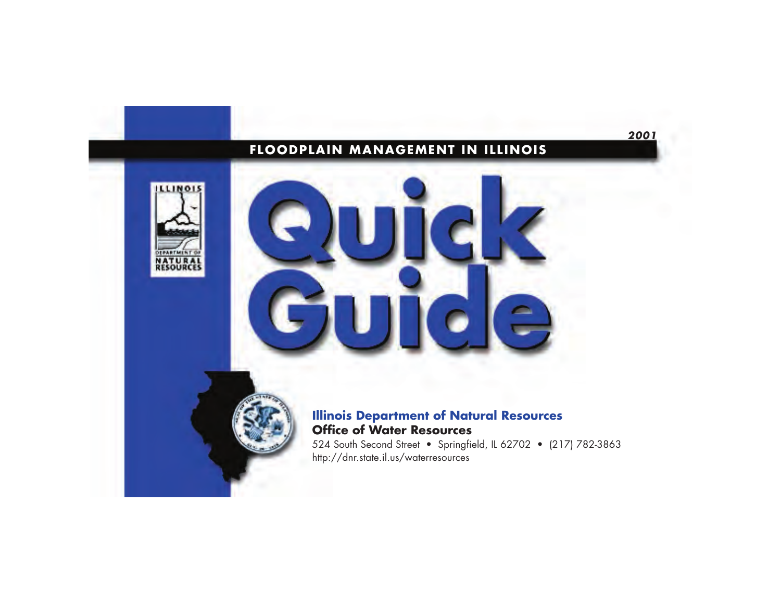## **FLOODPLAIN MANAGEMENT IN ILLINOIS**



# **Illinois Department of Natural Resources Office of Water Resources**

 524 South Second Street • Springfield, IL 62702 • (217) 782-3863 http://dnr.state.il.us/waterresources

**2001**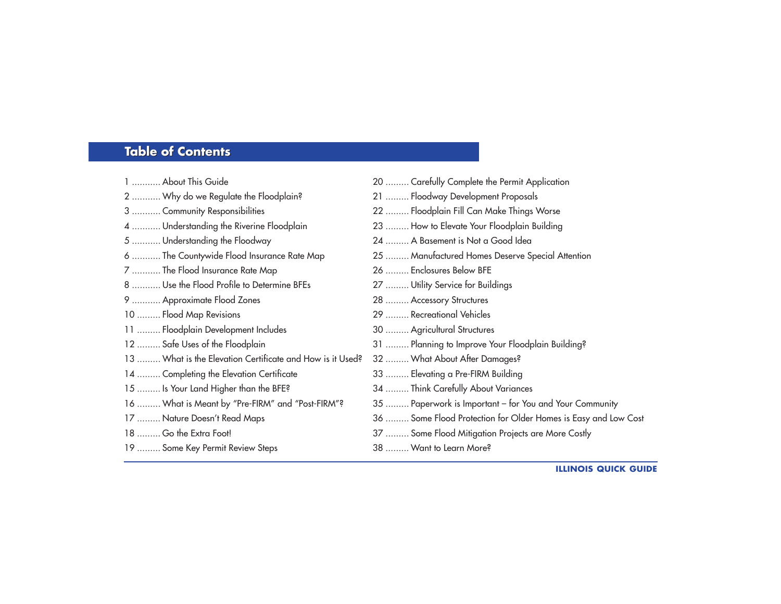#### **Table of Contents Table of Contents**

| 1  About This Guide                                       | 20  Carefully Complete the Permit Application                  |
|-----------------------------------------------------------|----------------------------------------------------------------|
| 2  Why do we Regulate the Floodplain?                     | 21  Floodway Development Proposals                             |
| 3  Community Responsibilities                             | 22  Floodplain Fill Can Make Things Worse                      |
| 4  Understanding the Riverine Floodplain                  | 23  How to Elevate Your Floodplain Building                    |
| 5  Understanding the Floodway                             | 24  A Basement is Not a Good Idea                              |
| 6  The Countywide Flood Insurance Rate Map                | 25  Manufactured Homes Deserve Special Attention               |
| 7  The Flood Insurance Rate Map                           | 26  Enclosures Below BFE                                       |
| 8  Use the Flood Profile to Determine BFEs                | 27  Utility Service for Buildings                              |
| 9  Approximate Flood Zones                                | 28  Accessory Structures                                       |
| 10  Flood Map Revisions                                   | 29  Recreational Vehicles                                      |
| 11  Floodplain Development Includes                       | 30  Agricultural Structures                                    |
| 12  Safe Uses of the Floodplain                           | 31  Planning to Improve Your Floodplain Building?              |
| 13  What is the Elevation Certificate and How is it Used? | 32  What About After Damages?                                  |
| 14  Completing the Elevation Certificate                  | 33  Elevating a Pre-FIRM Building                              |
| 15  Is Your Land Higher than the BFE?                     | 34  Think Carefully About Variances                            |
| 16  What is Meant by "Pre-FIRM" and "Post-FIRM"?          | 35  Paperwork is Important - for You and Your Community        |
| 17  Nature Doesn't Read Maps                              | 36  Some Flood Protection for Older Homes is Easy and Low Cost |
| 18  Go the Extra Foot!                                    | 37  Some Flood Mitigation Projects are More Costly             |
| 19  Some Key Permit Review Steps                          | 38  Want to Learn More?                                        |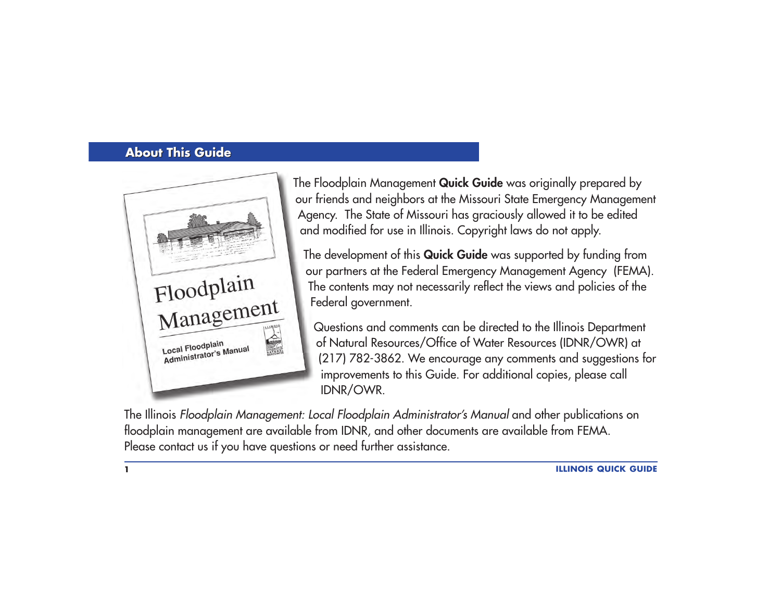## **About This Guide About This Guide**



The Floodplain Management **Quick Guide** was originally prepared by our friends and neighbors at the Missouri State Emergency Management Agency. The State of Missouri has graciously allowed it to be edited and modified for use in Illinois. Copyright laws do not apply.

The development of this **Quick Guide** was supported by funding from our partners at the Federal Emergency Management Agency (FEMA). The contents may not necessarily reflect the views and policies of the Federal government.

Questions and comments can be directed to the Illinois Department of Natural Resources/Office of Water Resources (IDNR/OWR) at (217) 782-3862. We encourage any comments and suggestions for improvements to this Guide. For additional copies, please call IDNR/OWR.

The Illinois Floodplain Management: Local Floodplain Administrator's Manual and other publications on floodplain management are available from IDNR, and other documents are available from FEMA. Please contact us if you have questions or need further assistance.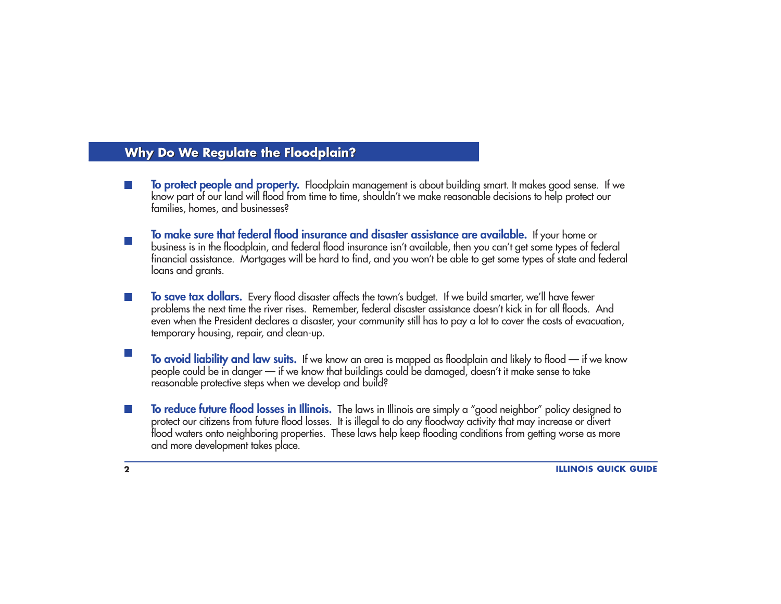### **Why Do We Regulate the Floodplain? Why Do We Regulate the Floodplain?**

- To protect people and property. Floodplain management is about building smart. It makes good sense. If we<br>know part of our land will flood from time to time, shouldn't we make reasonable decisions to help protect our<br>famil
- To make sure that federal flood insurance and disaster assistance are available. If your home or<br>business is in the floodplain, and federal flood insurance isn't available, then you can't get some types of federal<br>financia loans and grants.
- To save tax dollars. Every flood disaster affects the town's budget. If we build smarter, we'll have fewer problems the next time the river rises. Remember, federal disaster assistance doesn't kick in for all floods. And even when the President declares a disaster, your community still has to pay a lot to cover the costs of evacuation, temporary housing, repair, and clean-up.
- **To avoid liability and law suits.** If we know an area is mapped as floodplain and likely to flood if we know people could be in danger — if we know that buildings could be damaged, doesn't it make sense to take reasonable protective steps when we develop and build?
- **To reduce future flood losses in Illinois.** The laws in Illinois are simply a "good neighbor" policy designed to flood waters onto neighboring properties. These laws help keep flooding conditions from getting worse as more and more development takes place.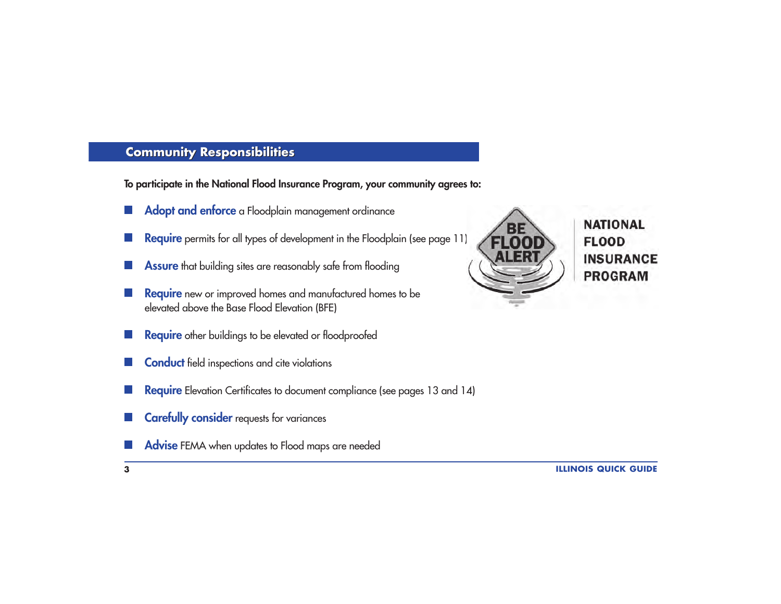# **Community Responsibilities Community Responsibilities**

**To participate in the National Flood Insurance Program, your community agrees to:**

- Adopt and enforce a Floodplain management ordinance  $\mathcal{L}^{\text{max}}$
- **Require** permits for all types of development in the Floodplain (see page 11)
- **Assure** that building sites are reasonably safe from flooding
- **Require** new or improved homes and manufactured homes to be elevated above the Base Flood Elevation (BFE)
- **Require** other buildings to be elevated or floodproofed
- **Conduct** field inspections and cite violations
- **Require** Elevation Certificates to document compliance (see pages 13 and 14)
- **Carefully consider** requests for variances
- **Advise** FEMA when updates to Flood maps are needed



**NATIONAL FLOOD INSURANCE PROGRAM**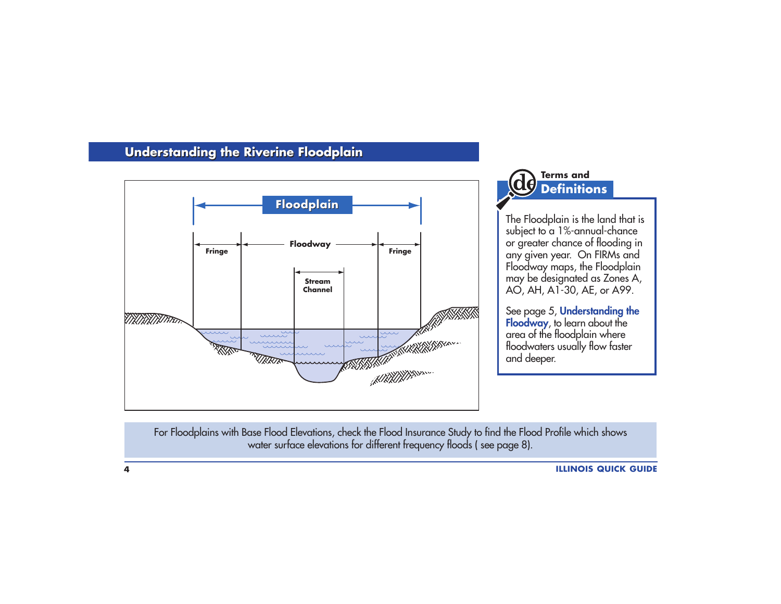# **Understanding the Riverine Floodplain Understanding the Riverine Floodplain**



# **Terms andDefinitions**

The Floodplain is the land that is subject to a  $1%$ -annual-chance or greater chance of flooding in any given year. On FIRMs and Floodway maps, the Floodplain may be designated as Zones A, AO, AH, A1-30, AE, or A99.

See page 5, **Understanding the Floodway**, to learn about the area of the floodplain where<br>floodwaters usually flow faster and deeper.

For Floodplains with Base Flood Elevations, check the Flood Insurance Study to find the Flood Profile which shows water surface elevations for different frequency floods ( see page 8).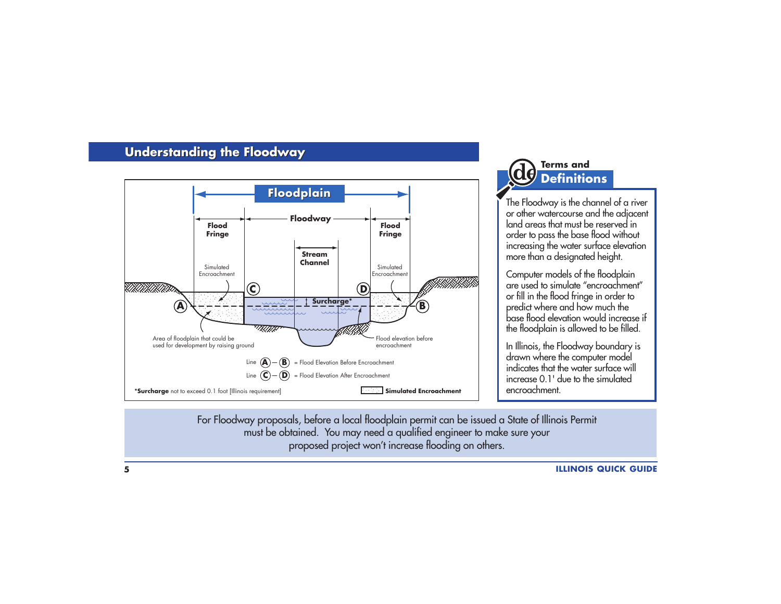## **Understanding the Floodway Understanding the Floodway**



# **Terms andDefinitions**

The Floodway is the channel of a river or other watercourse and the adjacent land areas that must be reserved in order to pass the base flood without increasing the water surface elevation more than a designated height.

Computer models of the floodplain are used to simulate "encroachment" or fill in the flood fringe in order to predict where and how much the base flood elevation would increase if the floodplain is allowed to be filled.

In Illinois, the Floodway boundary is drawn where the computer model indicates that the water surface willincrease 0.1' due to the simulatedencroachment.

For Floodway proposals, before a local floodplain permit can be issued a State of Illinois Permit must be obtained. You may need a qualified engineer to make sure your proposed project won't increase flooding on others.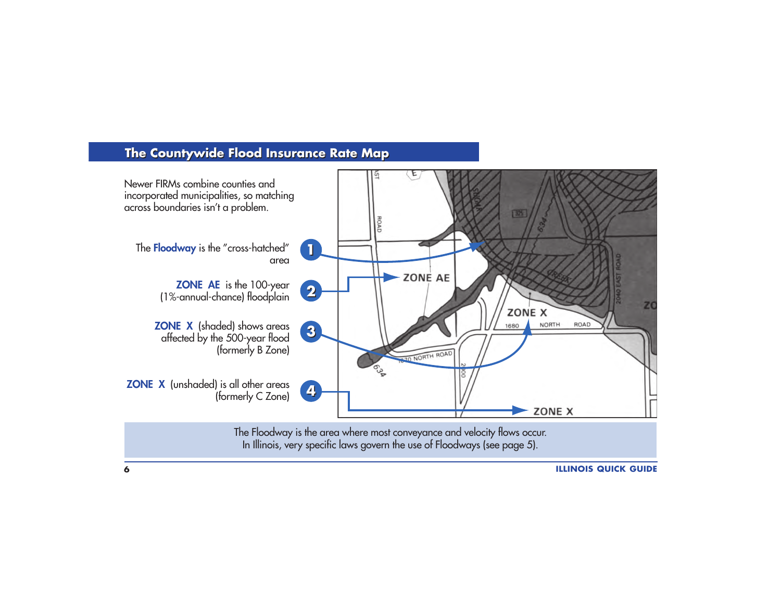## **The Countywide Flood Insurance Rate Map**

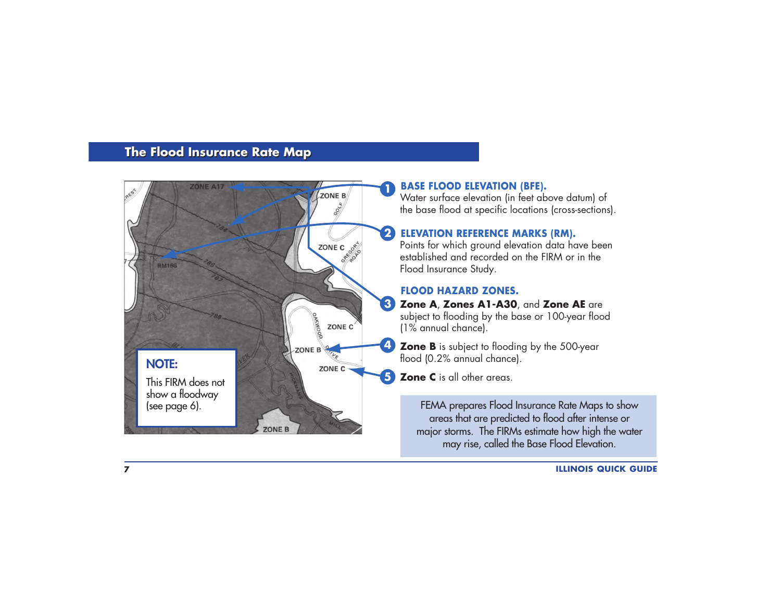## **The Flood Insurance Rate Map The Flood Insurance Rate Map**



#### **BASE FLOOD ELEVATION (BFE).**

Water surface elevation (in feet above datum) of the base flood at specific locations (cross-sections).

#### **ELEVATION REFERENCE MARKS (RM).**

Points for which ground elevation data have been established and recorded on the FIRM or in the Flood Insurance Study.

#### **FLOOD HAZARD ZONES.**

**Zone A**, **Zones A1-A30**, and **Zone AE** are **3**subject to flooding by the base or 100-year flood (1% annual chance).

**Zone B** is subject to flooding by the 500-year flood (0.2% annual chance).

**Zone C** is all other areas. **5**

FEMA prepares Flood Insurance Rate Maps to show areas that are predicted to flood after intense or major storms. The FIRMs estimate how high the water may rise, called the Base Flood Elevation.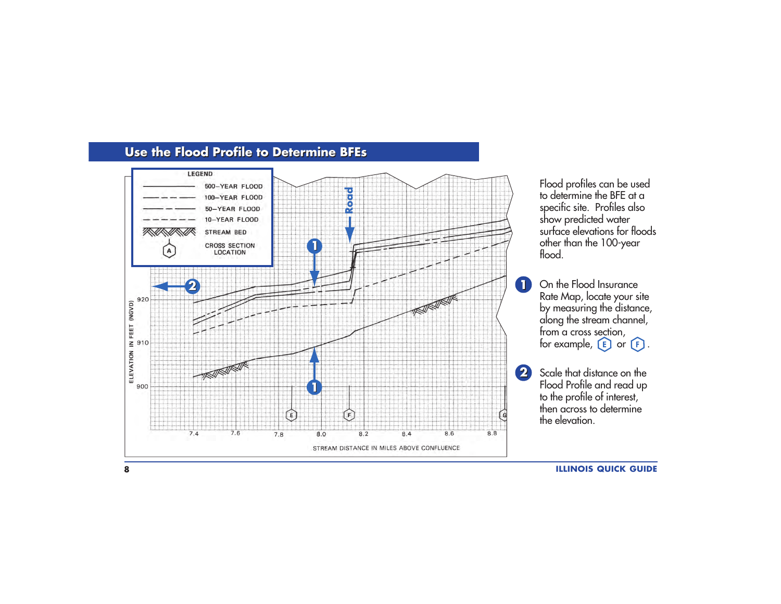

#### **Use the Flood Profile to Determine BFEs Use the Flood Profile to Determine BFEs**

**8**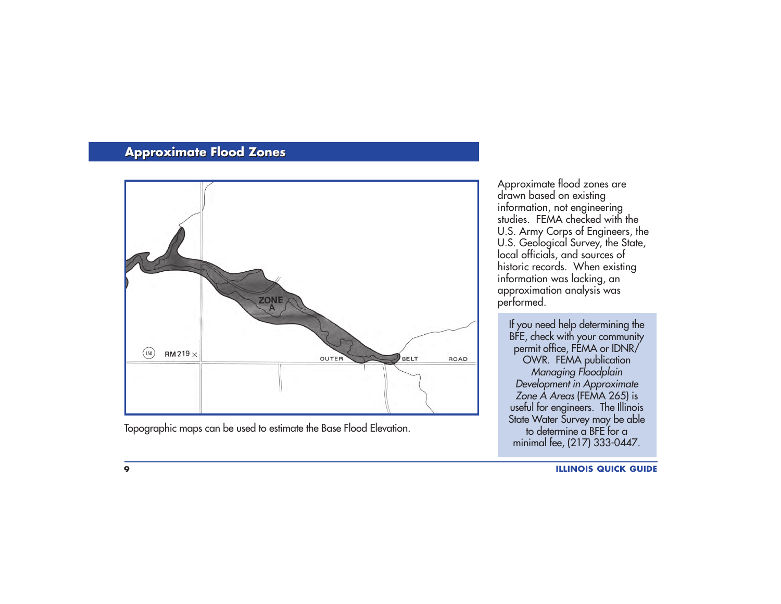## **Approximate Flood Zones Approximate Flood Zones**



Topographic maps can be used to estimate the Base Flood Elevation.

Approximate flood zones are<br>drawn based on existing information, not engineering studies. FEMA checked with the U.S. Army Corps of Engineers, the<br>U.S. Geological Survey, the State, local officials, and sources of<br>historic records. When existing information was lacking, an approximation analysis was performed.

If you need help determining the BFE, check with your community permit office, FEMA or IDNR/ OWR. FEMA publication Managing Floodplain Development in Approximate Zone  $\overline{A}$  Areas (FEMA 265) is useful for engineers. The Illinois State Water Survey may be able<br>to determine a BFE for a minimal fee, (217) 333-0447.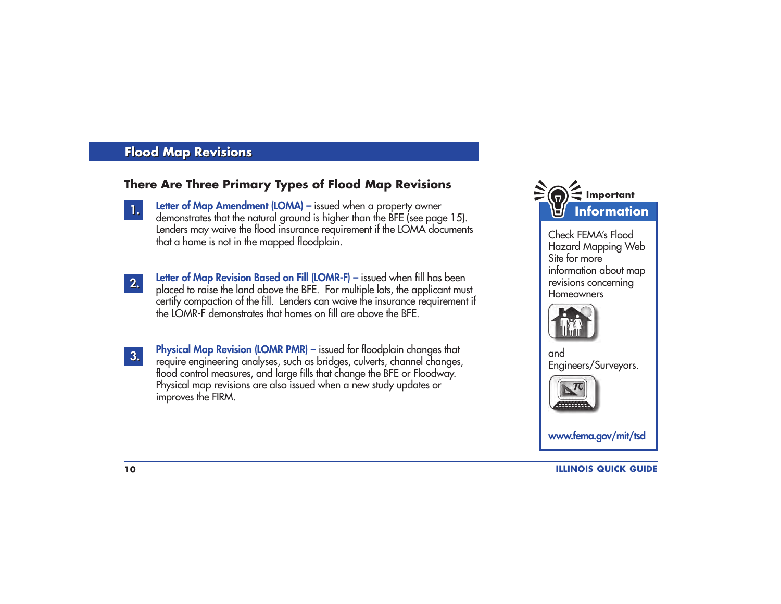## **Flood Map Revisions Flood Map Revisions**

#### **There Are Three Primary Types of Flood Map Revisions**

- **Letter of Map Amendment (LOMA)** issued when a property owner demonstrates that the natural ground is higher than the BFE (see page 15). Lenders may waive the flood insurance requirement if the LOMA documents that a home is not in the mapped floodplain.
- **2. 2.**

**1.**

**Letter of Map Revision Based on Fill (LOMR-F) –** issued when fill has been <sup>p</sup>laced to raise the land above the BFE. For multiple lots, the applicant must certify compaction of the fill. Lenders can waive the insurance requirement if the LOMR-F demonstrates that homes on fill are above the BFE.

**3.**

**Physical Map Revision (LOMR PMR)** – issued for floodplain changes that require engineering analyses, such as bridges, culverts, channel changes, flood control measures, and large fills that change the BFE or Floodway. Physical map revisions are also issued when a new study updates or improves the FIRM.



Check FEMA's FloodHazard Mapping Web Site for moreinformation about map revisions concerning Homeowners



andEngineers/Surveyors.



**www.fema.gov/mit/tsd**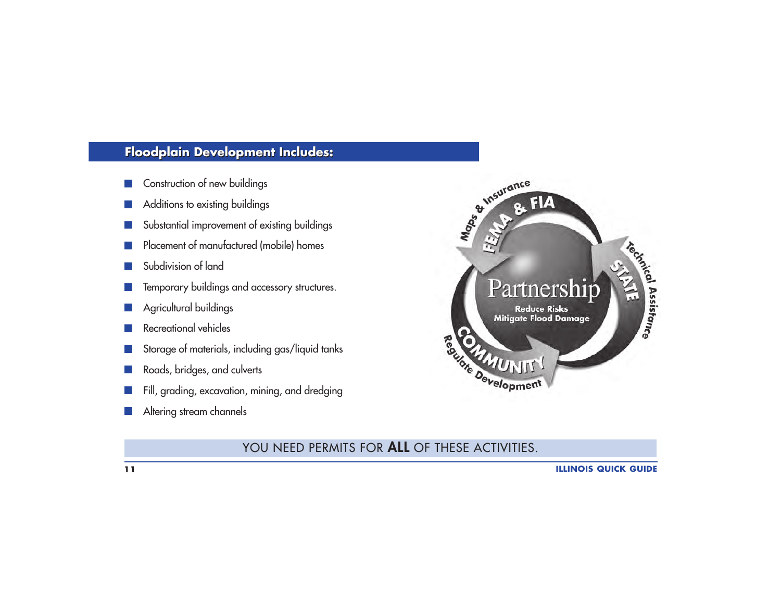# **Floodplain Development Includes: Floodplain Development Includes:**

- Construction of new buildings
- Additions to existing buildings
- Substantial improvement of existing buildings
- Placement of manufactured (mobile) homes
- Subdivision of land
- Temporary buildings and accessory structures.
- Agricultural buildings
- Recreational vehicles
- Storage of materials, including gas/liquid tanks
- Roads, bridges, and culverts
- Fill, grading, excavation, mining, and dredging
- Altering stream channels



### YOU NEED PERMITS FOR **ALL** OF THESE ACTIVITIES.

**11**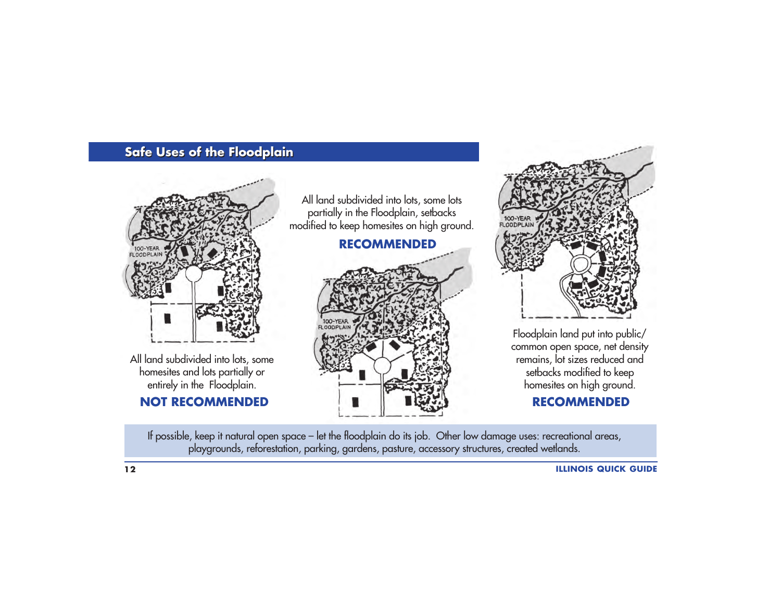# **Safe Uses of the Floodplain Safe Uses of the Floodplain**



homesites and lots partially or entirely in the Floodplain.

## **NOT RECOMMENDED**

All land subdivided into lots, some lots partially in the Floodplain, setbacks modified to keep homesites on high ground.

### **RECOMMENDED**





Floodplain land put into public/ common open space, net density remains, lot sizes reduced and setbacks modified to keep homesites on high ground.

### **RECOMMENDED**

If possible, keep it natural open space – let the floodplain do its job. Other low damage uses: recreational areas, <sup>p</sup>laygrounds, reforestation, parking, gardens, pasture, accessory structures, created wetlands.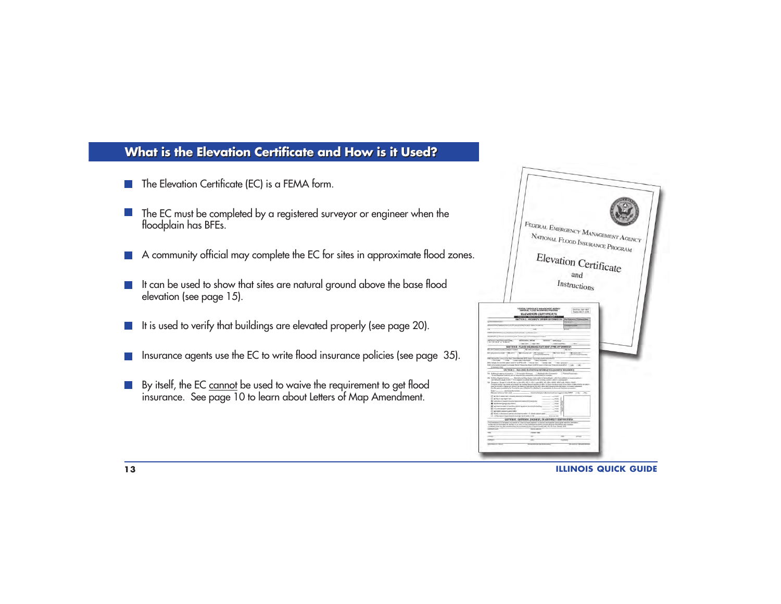#### **What is the Elevation Certificate and How is it Used? What is the Elevation Certificate and How is it Used?**

- The Elevation Certificate (EC) is a FEMA form.
- The EC must be completed by a registered surveyor or engineer when the floodplain has BFEs.
- A community official may complete the EC for sites in approximate flood zones.
- It can be used to show that sites are natural ground above the base flood elevation (see page 15).
- It is used to verify that buildings are elevated properly (see page 20).
- Insurance agents use the EC to write flood insurance policies (see page 35).
- By itself, the EC cannot be used to waive the requirement to get flood insurance. See page 10 to learn about Letters of Map Amendment.  $\mathcal{L}(\mathcal{A})$



**ILLINOIS QUICK GUIDE**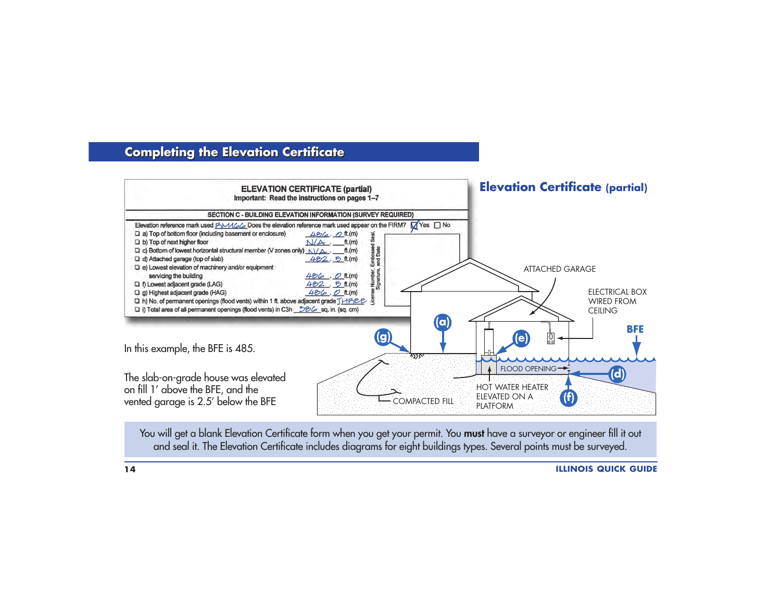## **Completing the Elevation Certificate Completing the Elevation Certificate**



You will get a blank Elevation Certificate form when you get your permit. You **must** have a surveyor or engineer fill it out and seal it. The Elevation Certificate includes diagrams for eight buildings types. Several points must be surveyed.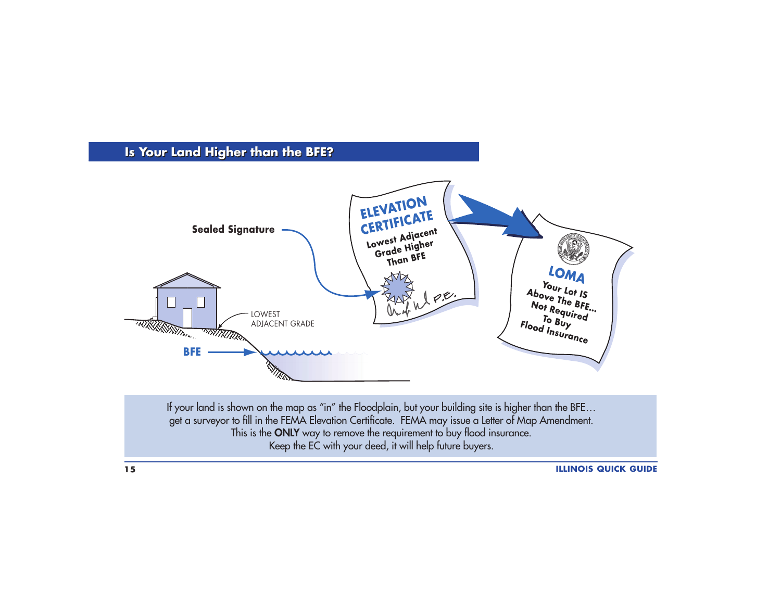# **Is Your Land Higher than the BFE? Is Your Land Higher than the BFE? ELEVATION CERTIFICATE Sealed Signature Lowest Adjacent Grade Higher Than BFELOMA Your Lot IS Above The BFE… Not Required To Buy Flood Insurance** WPE. LOWEST **TRUKK STATION** ADJACENT GRADE **TRINATION BFE**

If your land is shown on the map as "in" the Floodplain, but your building site is higher than the BFE... get a surveyor to fill in the FEMA Elevation Certificate. FEMA may issue a Letter of Map Amendment. This is the **ONLY** way to remove the requirement to buy flood insurance. Keep the EC with your deed, it will help future buyers.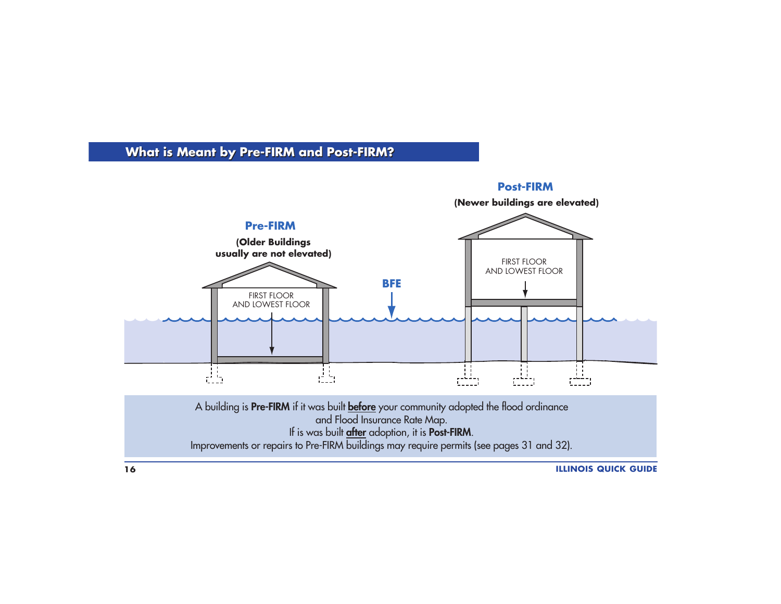# **What is Meant by Pre-FIRM and Post-FIRM? What is Meant by Pre-FIRM and Post-FIRM?**

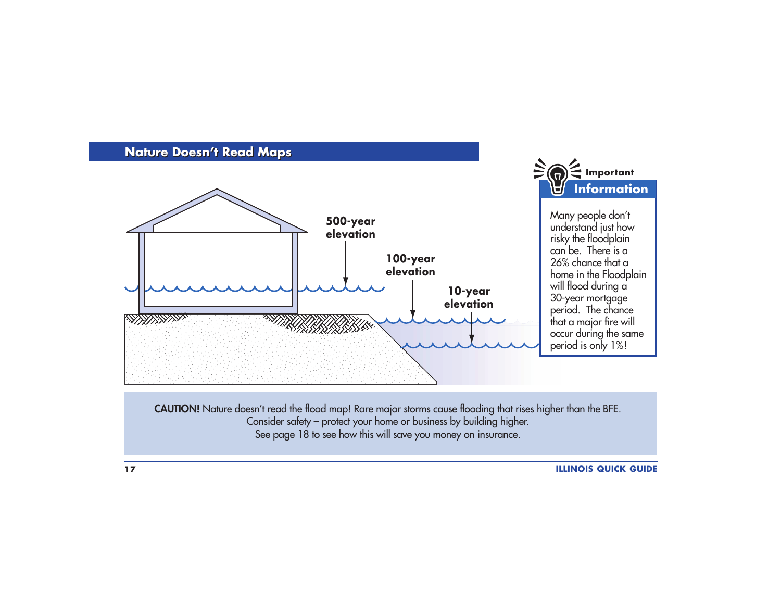

**CAUTION!** Nature doesn't read the flood map! Rare major storms cause flooding that rises higher than the BFE. Consider safety – protect your home or business by building higher. See page 18 to see how this will save you money on insurance.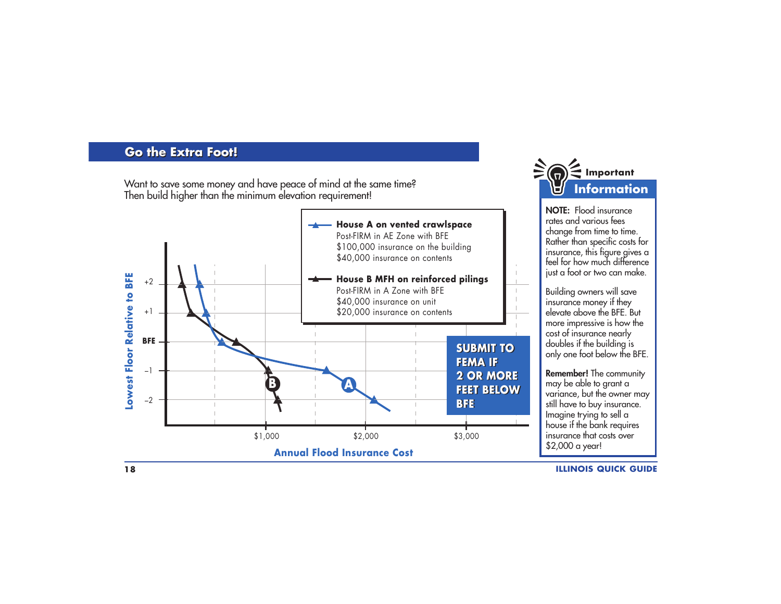#### **Go the Extra Foot! Go the Extra Foot!**

Want to save some money and have peace of mind at the same time? Then build higher than the minimum elevation requirement!





**NOTE:** Flood insurancerates and various feeschange from time to time. Rather than specific costs for insurance, this figure gives a feel for how much difference just a foot or two can make.

Building owners will save insurance money if they elevate above the BFE. But more impressive is how the cost of insurance nearly doubles if the building is only one foot below the BFE.

**Remember!** The community may be able to grant a variance, but the owner may still have to buy insurance. Imagine trying to sell a house if the bank requires insurance that costs over\$2,000 a year!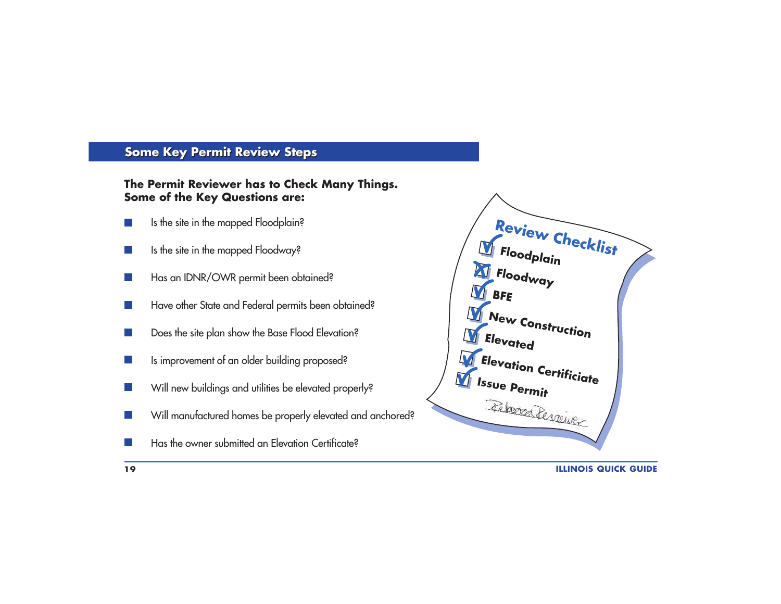## **Some Key Permit Review Steps**

#### **The Permit Reviewer has to Check Many Things. Some of the Key Questions are:**

- Is the site in the mapped Floodplain? m.
- Is the site in the mapped Floodway?  $\sim 10$
- Has an IDNR/OWR permit been obtained?
- Have other State and Federal permits been obtained?
- Does the site plan show the Base Flood Elevation?
- Is improvement of an older building proposed?  $\sim 10$
- Will new buildings and utilities be elevated properly?  $\sim$
- Will manufactured homes be properly elevated and anchored?  $\mathcal{L}_{\mathcal{A}}$
- Has the owner submitted an Elevation Certificate?m.

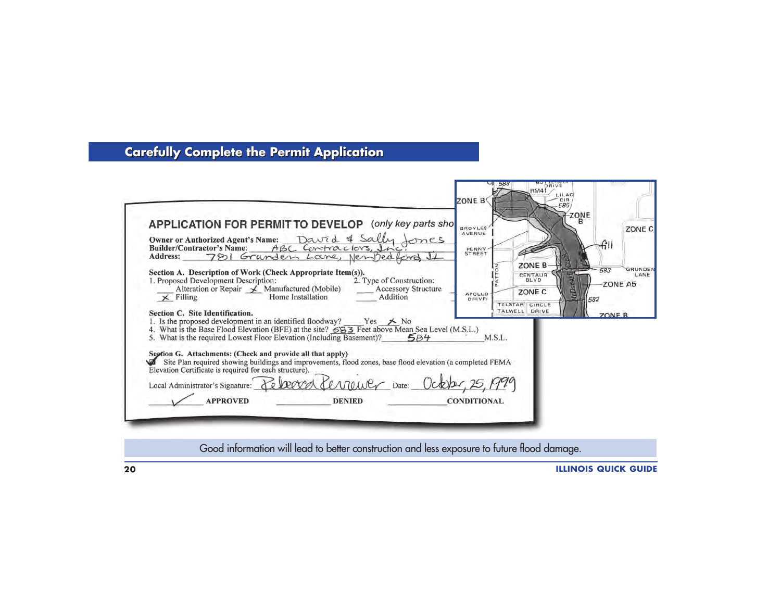# **Carefully Complete the Permit Application Carefully Complete the Permit Application**

|                                                                                                                                                                          |                               | ZONE B                                | CIR<br>585     | ZONE                          |
|--------------------------------------------------------------------------------------------------------------------------------------------------------------------------|-------------------------------|---------------------------------------|----------------|-------------------------------|
| APPLICATION FOR PERMIT TO DEVELOP                                                                                                                                        |                               | (only key parts sho<br><b>BROYLES</b> |                | ZONE C                        |
| Owner or Authorized Agent's Name: David & Sally                                                                                                                          |                               | AVENUE<br>ones                        |                |                               |
| <b>Builder/Contractor's Name:</b>                                                                                                                                        | ABC Contractors, Inc          | PENNY-<br>STREET                      |                | fill                          |
| Address: 781 Grunden Lane, Nembedford, 1                                                                                                                                 |                               |                                       |                |                               |
| Section A. Description of Work (Check Appropriate Item(s)).                                                                                                              |                               |                                       | ZONE B<br>ξ    | <b>GRUNDEN</b><br>583<br>LANE |
| 1. Proposed Development Description:                                                                                                                                     | 2. Type of Construction:      |                                       | <b>CENTAUR</b> | ZONE A5                       |
| Alteration or Repair $\angle$ Manufactured (Mobile)<br>$\times$ Filling                                                                                                  | Home Installation<br>Addition | <b>Accessory Structure</b><br>APOLLO  | ZONE C         |                               |
|                                                                                                                                                                          |                               | DRIVE/                                | TELSTAR CIRCLE | 582                           |
| Section C. Site Identification.                                                                                                                                          |                               |                                       | TALWELL DRIVE  | <b>ZONE B</b>                 |
| 1. Is the proposed development in an identified floodway? Yes $\neq$ No<br>4. What is the Base Flood Elevation (BFE) at the site? 583 Feet above Mean Sea Level (M.S.L.) |                               |                                       |                |                               |
| 5. What is the required Lowest Floor Elevation (Including Basement)?                                                                                                     |                               | 584<br>M.S.L.                         |                |                               |
|                                                                                                                                                                          |                               |                                       |                |                               |
| Seption G. Attachments: (Check and provide all that apply)<br>Site Plan required showing buildings and improvements, flood zones, base flood elevation (a completed FEMA |                               |                                       |                |                               |
| Elevation Certificate is required for each structure).                                                                                                                   |                               |                                       |                |                               |
| Local Administrator's Signature: Rebecca Cevreuver Date: October, 25, 1999                                                                                               |                               |                                       |                |                               |
|                                                                                                                                                                          |                               |                                       |                |                               |
| <b>APPROVED</b>                                                                                                                                                          | <b>DENIED</b>                 | <b>CONDITIONAL</b>                    |                |                               |
|                                                                                                                                                                          |                               |                                       |                |                               |
|                                                                                                                                                                          |                               |                                       |                |                               |

Good information will lead to better construction and less exposure to future flood damage.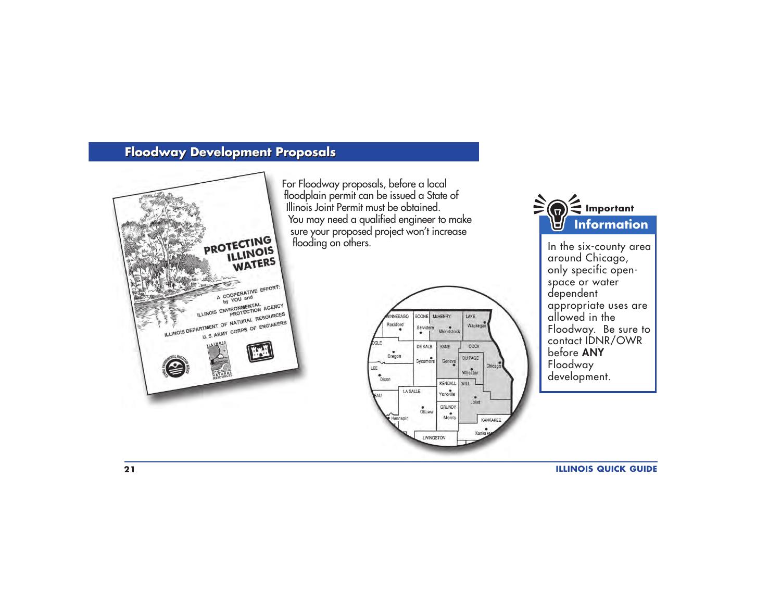# **Floodway Development Proposals Floodway Development Proposals**



For Floodway proposals, before a local floodplain permit can be issued a State of Illinois Joint Permit must be obtained.You may need a qualified engineer to make sure your proposed project won't increase flooding on others.





In the six-county area<br>around Chicago, only specific openspace or water dependent appropriate uses are allowed in the Floodway. Be sure to contact IDNR/OWR before **ANY**Floodway development.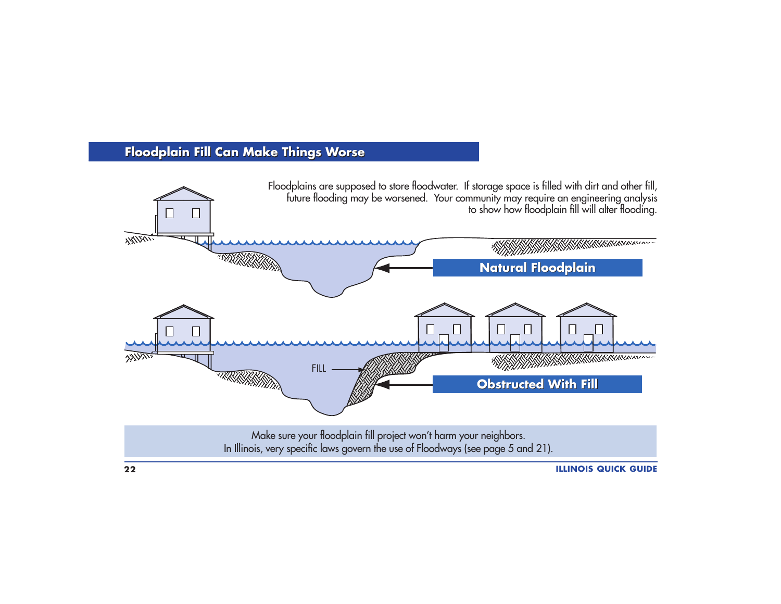# **Floodplain Fill Can Make Things Worse Floodplain Fill Can Make Things Worse**



**22**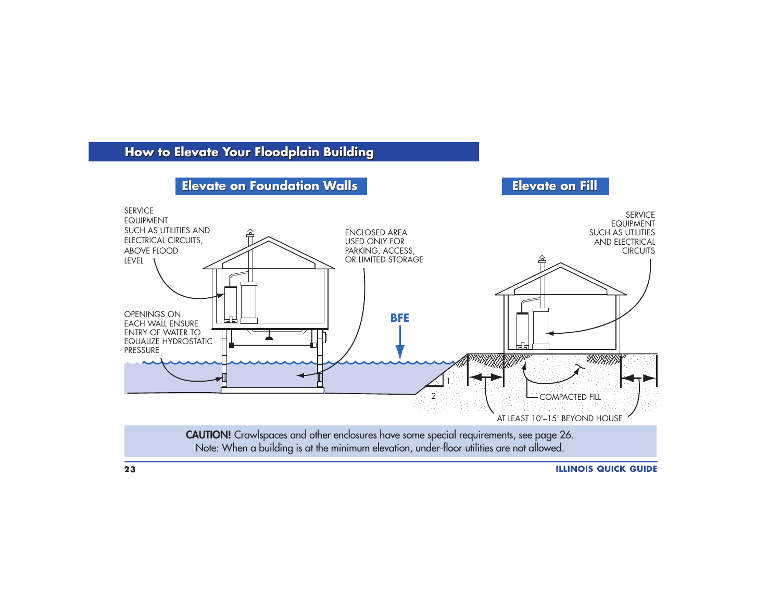# **How to Elevate Your Floodplain Building How to Elevate Your Floodplain Building**

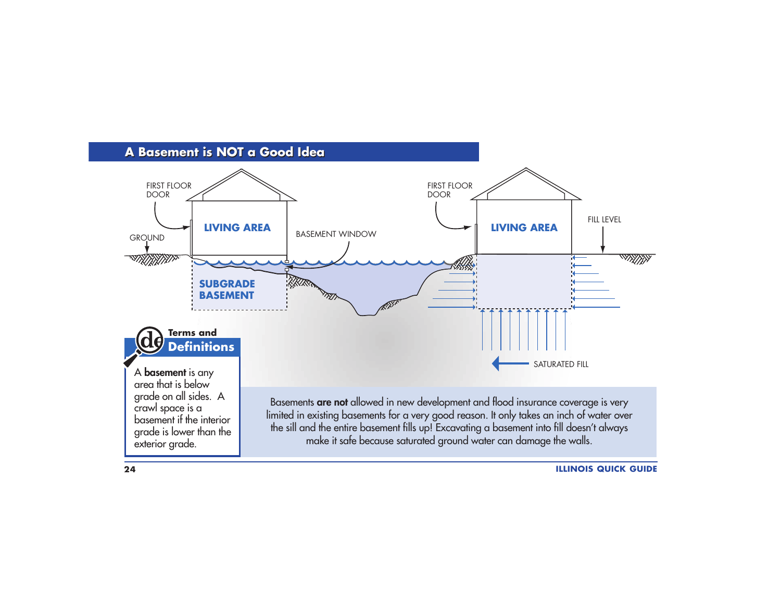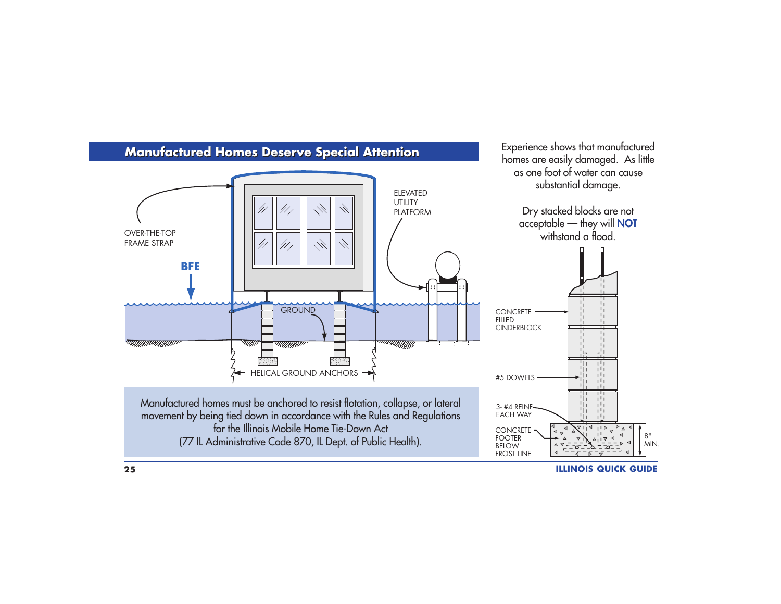

**ILLINOIS QUICK GUIDE**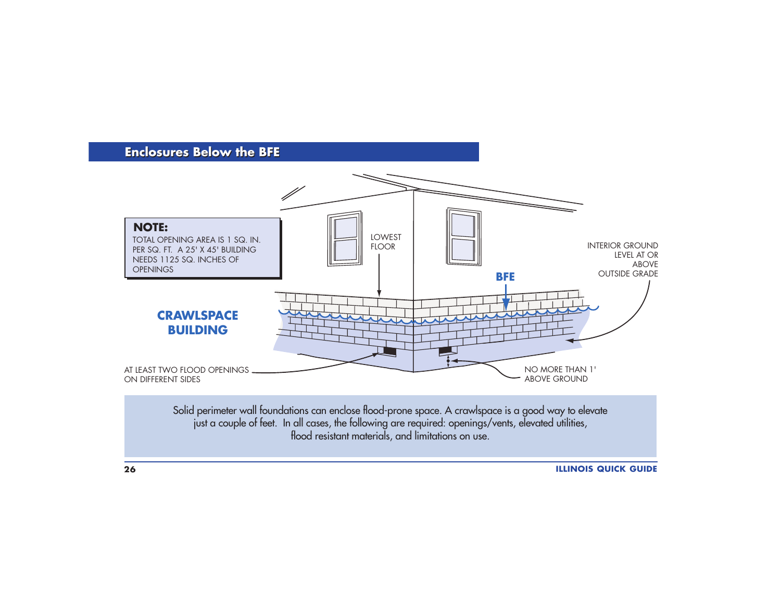#### **Enclosures Below the BFE Enclosures Below the BFE**

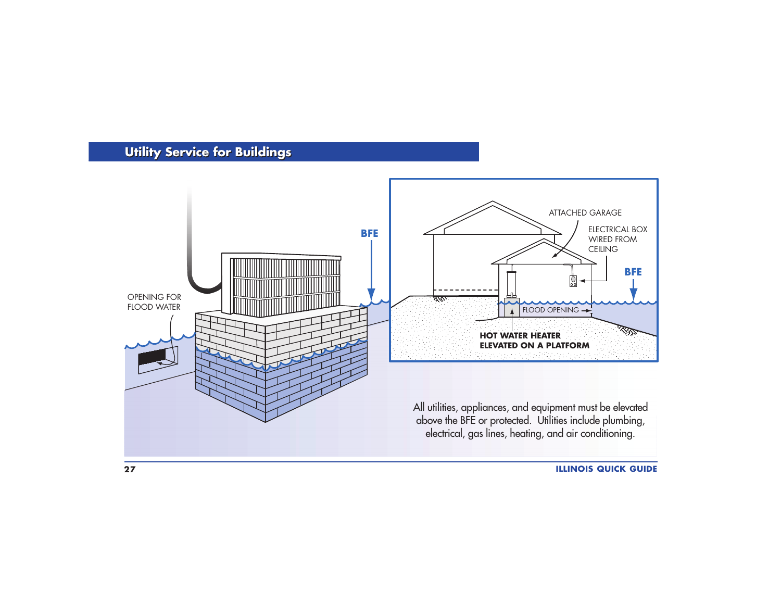# **Utility Service for Buildings Utility Service for Buildings**

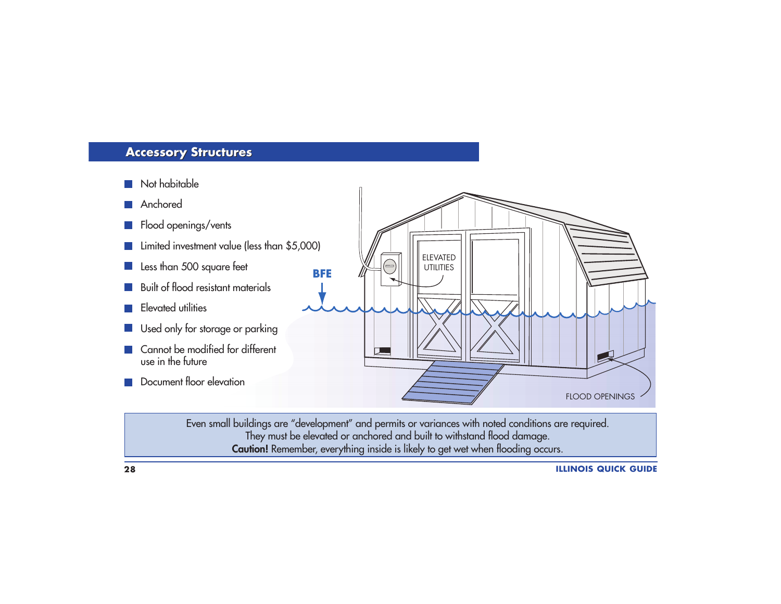## **Accessory Structures Accessory Structures**

- **Not habitable**
- **Anchored**
- **Flood openings/vents**
- **Limited investment value (less than \$5,000)**
- Less than 500 square feet
- **Built of flood resistant materials**
- **Elevated utilities**
- Used only for storage or parking
- Cannot be modified for different use in the future
- **Document floor elevation**



Even small buildings are "development" and permits or variances with noted conditions are required. They must be elevated or anchored and built to withstand flood damage. **Caution!** Remember, everything inside is likely to get wet when flooding occurs.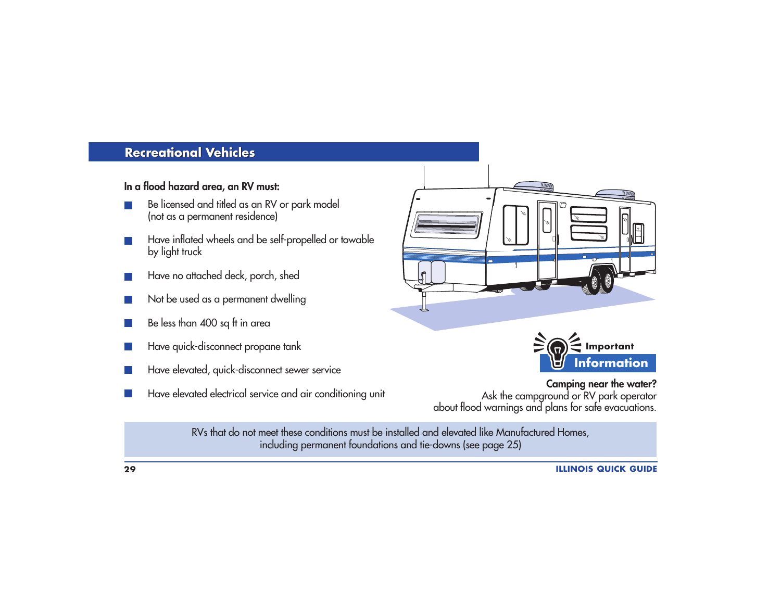#### **Recreational Vehicles Recreational Vehicles**

#### **In a flood hazard area, an RV must:**

- Be licensed and titled as an RV or park model (not as a permanent residence)
- Have inflated wheels and be self-propelled or towable by light truck
- Have no attached deck, porch, shed
- Not be used as a permanent dwelling
- Be less than 400 sq ft in area
- Have quick-disconnect propane tank
- Have elevated, quick-disconnect sewer service
- Have elevated electrical service and air conditioning unit





**Camping near the water?** Ask the campground or RV park operator about flood warnings and plans for safe evacuations.

RVs that do not meet these conditions must be installed and elevated like Manufactured Homes, including permanent foundations and tie-downs (see page 25)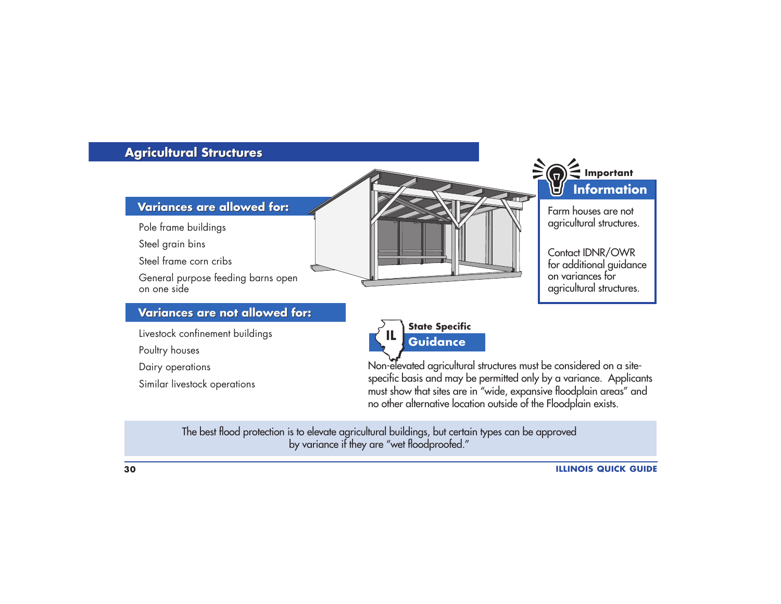# **Agricultural Structures Agricultural Structures**



Pole frame buildings

Steel grain bins

Steel frame corn cribs

General purpose feeding barns open on one side

#### **Variances are not allowed for: Variances are not allowed for:**

Livestock confinement buildings

Poultry houses

Dairy operations

Similar livestock operations





Farm houses are notagricultural structures.

Contact IDNR/OWR for additional guidance on variances foragricultural structures.



Non-elevated agricultural structures must be considered on a sitespecific basis and may be permitted only by a variance. Applicants must show that sites are in "wide, expansive floodplain areas" and no other alternative location outside of the Floodplain exists.

The best flood protection is to elevate agricultural buildings, but certain types can be approved by variance if they are "wet floodproofed."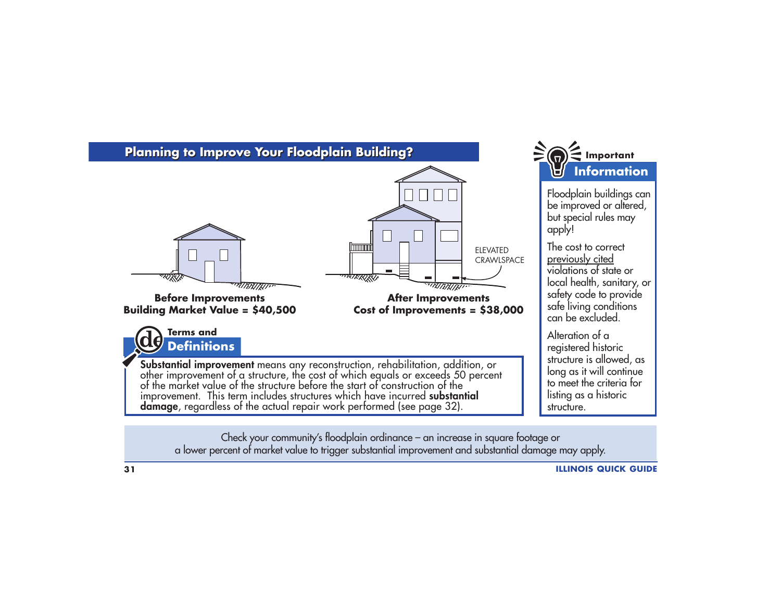

a lower percent of market value to trigger substantial improvement and substantial damage may apply.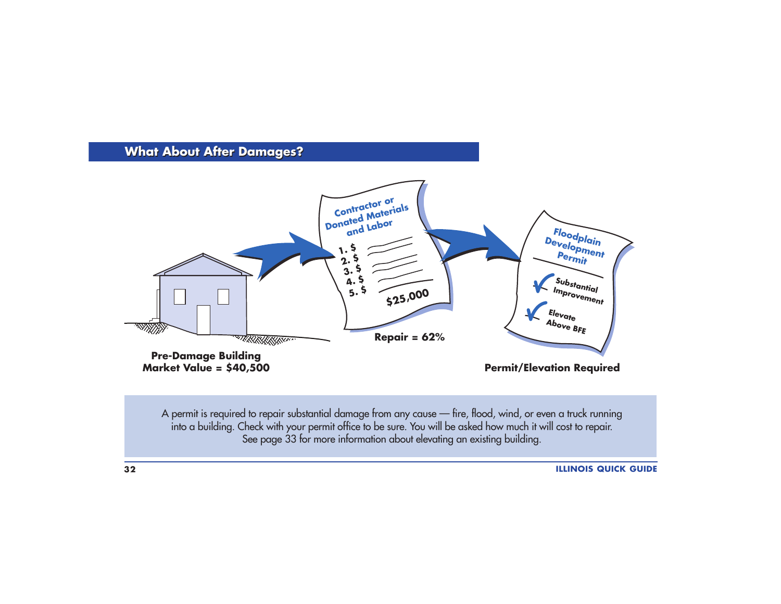## **What About After Damages?**



A permit is required to repair substantial damage from any cause — fire, flood, wind, or even a truck running into a building. Check with your permit office to be sure. You will be asked how much it will cost to repair. See page 33 for more information about elevating an existing building.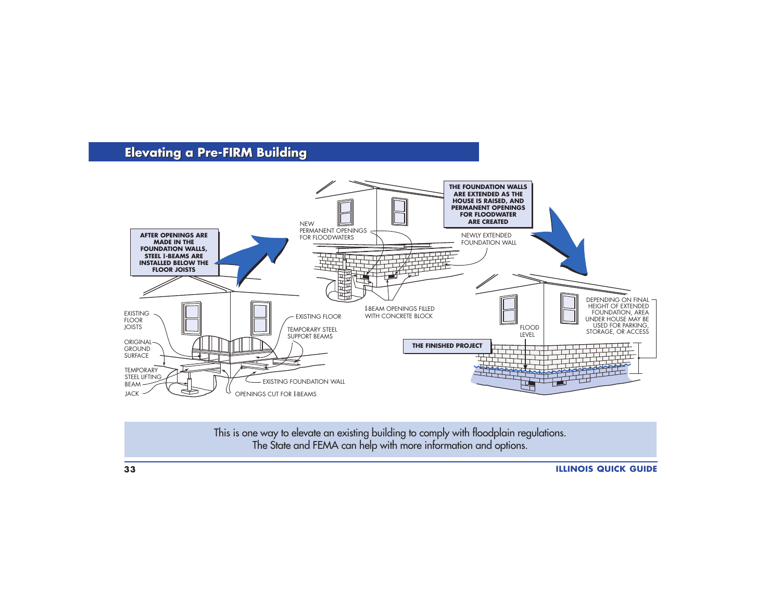# **Elevating a Pre-FIRM Building Elevating a Pre-FIRM Building**



This is one way to elevate an existing building to comply with floodplain regulations. The State and FEMA can help with more information and options.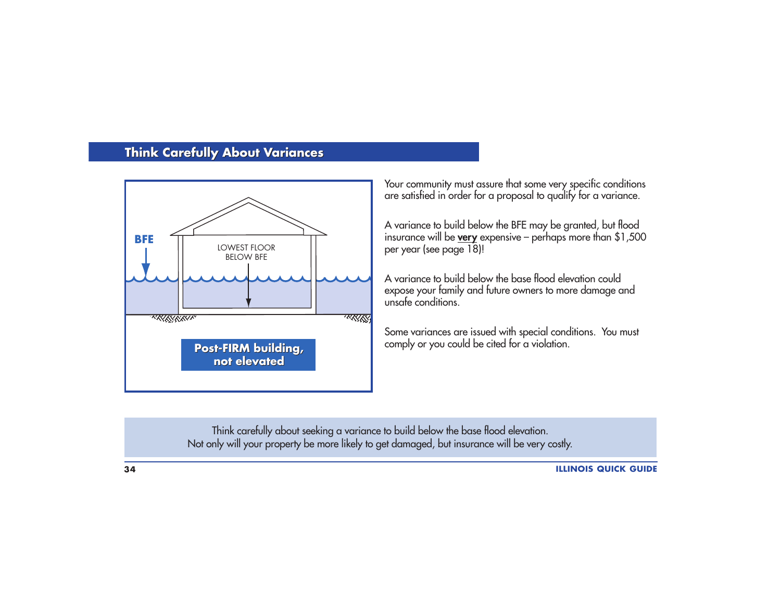# **Think Carefully About Variances**



Your community must assure that some very specific conditions are satisfied in order for a proposal to qualify for a variance.

A variance to build below the BFE may be granted, but flood insurance will be **very** expensive – perhaps more than \$1,500 per year (see page 18)!

A variance to build below the base flood elevation couldexpose your family and future owners to more damage and unsafe conditions.

Some variances are issued with special conditions. You must comply or you could be cited for a violation.

Think carefully about seeking a variance to build below the base flood elevation. Not only will your property be more likely to get damaged, but insurance will be very costly.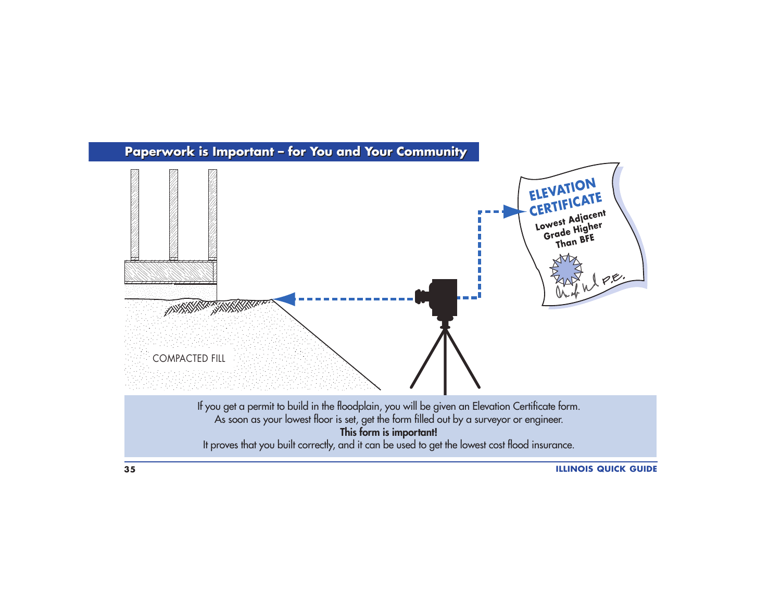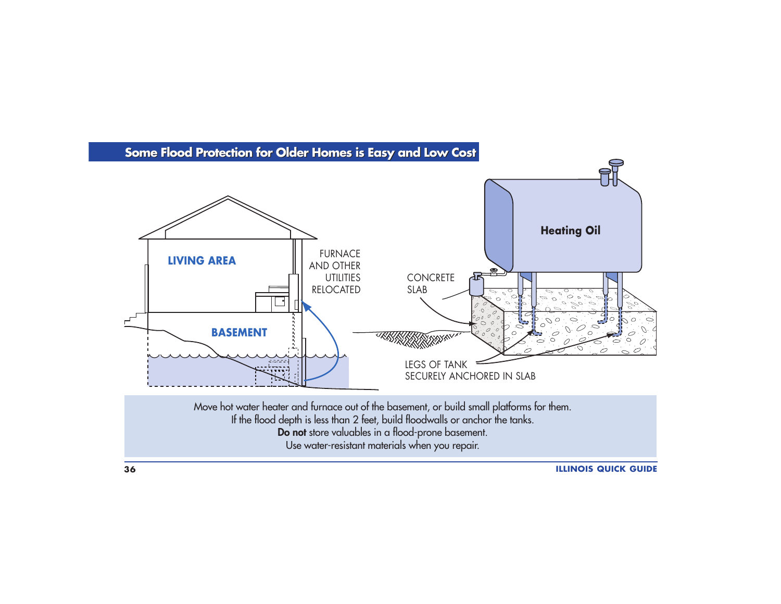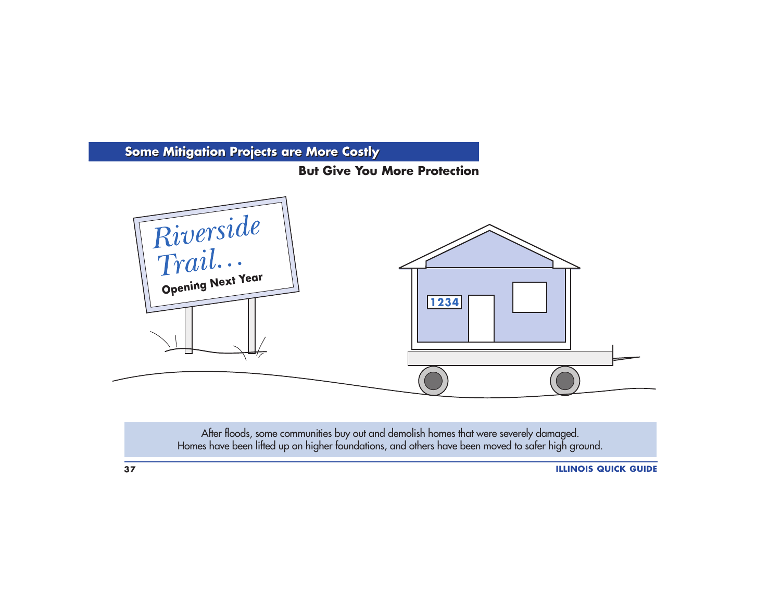

After floods, some communities buy out and demolish homes that were severely damaged. Homes have been lifted up on higher foundations, and others have been moved to safer high ground.